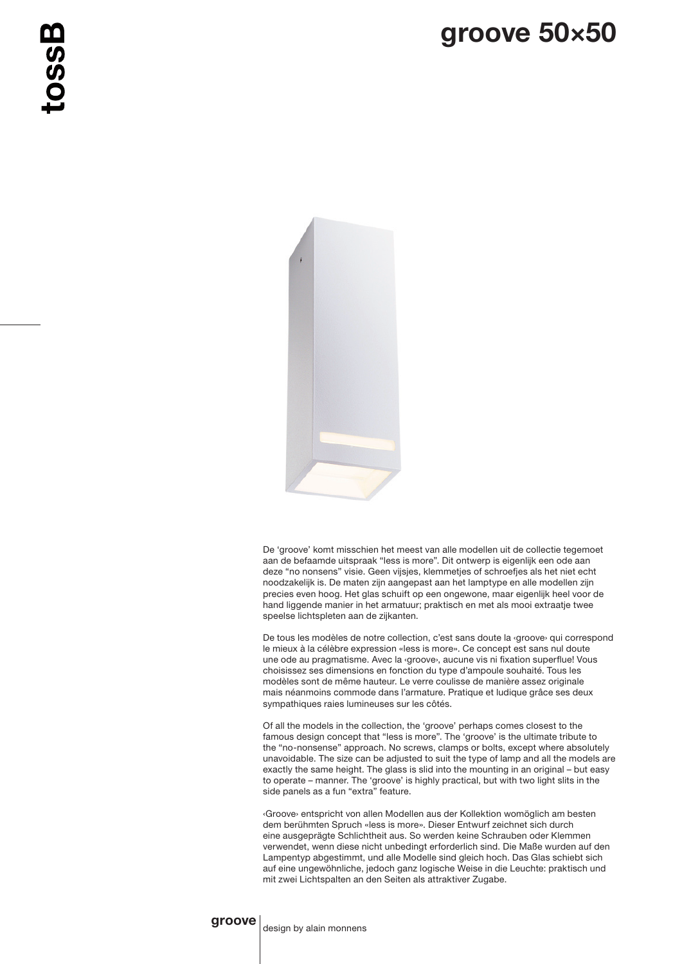

De 'groove' komt misschien het meest van alle modellen uit de collectie tegemoet aan de befaamde uitspraak "less is more". Dit ontwerp is eigenlijk een ode aan deze "no nonsens" visie. Geen vijsjes, klemmetjes of schroefjes als het niet echt noodzakelijk is. De maten zijn aangepast aan het lamptype en alle modellen zijn precies even hoog. Het glas schuift op een ongewone, maar eigenlijk heel voor de hand liggende manier in het armatuur; praktisch en met als mooi extraatje twee speelse lichtspleten aan de zijkanten.

De tous les modèles de notre collection, c'est sans doute la ‹groove› qui correspond le mieux à la célèbre expression «less is more». Ce concept est sans nul doute une ode au pragmatisme. Avec la ‹groove›, aucune vis ni fixation superflue! Vous choisissez ses dimensions en fonction du type d'ampoule souhaité. Tous les modèles sont de même hauteur. Le verre coulisse de manière assez originale mais néanmoins commode dans l'armature. Pratique et ludique grâce ses deux sympathiques raies lumineuses sur les côtés.

Of all the models in the collection, the 'groove' perhaps comes closest to the famous design concept that "less is more". The 'groove' is the ultimate tribute to the "no-nonsense" approach. No screws, clamps or bolts, except where absolutely unavoidable. The size can be adjusted to suit the type of lamp and all the models are exactly the same height. The glass is slid into the mounting in an original – but easy to operate – manner. The 'groove' is highly practical, but with two light slits in the side panels as a fun "extra" feature.

‹Groove› entspricht von allen Modellen aus der Kollektion womöglich am besten dem berühmten Spruch «less is more». Dieser Entwurf zeichnet sich durch eine ausgeprägte Schlichtheit aus. So werden keine Schrauben oder Klemmen verwendet, wenn diese nicht unbedingt erforderlich sind. Die Maße wurden auf den Lampentyp abgestimmt, und alle Modelle sind gleich hoch. Das Glas schiebt sich auf eine ungewöhnliche, jedoch ganz logische Weise in die Leuchte: praktisch und mit zwei Lichtspalten an den Seiten als attraktiver Zugabe.